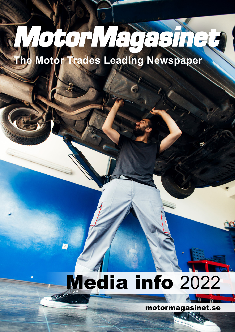# opp Magadied

**The Motor Trades Leading Newspaper**

# Media info 2022

motormagasinet.se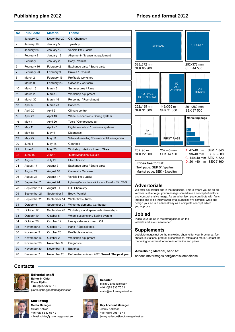| No | <b>Publ. date</b> | <b>Material</b> | <b>Theme</b>                                             |
|----|-------------------|-----------------|----------------------------------------------------------|
| 1  | January 12        | December 20     | Oil / Chemistry                                          |
| 2  | January 19        | January 5       | Tyreshop                                                 |
| 3  | January 28        | January 12      | Vehicle lifts / Jacks                                    |
| 4  | February 2        | January 19      | Alignment- / Measuringequipment                          |
| 5  | February 9        | January 26      | Body / Varnish                                           |
| 6  | February 16       | February 2      | Exchange parts / Spare parts                             |
| 7  | February 23       | February 9      | Brakes / Exhaust                                         |
| 8  | March 2           | February 16     | Profitable workshop                                      |
| 9  | March 9           | February 23     | Carwash / Car care                                       |
| 10 | March 16          | March 2         | Summer tires / Rims                                      |
| 11 | March 23          | March 9         | Workshop equipment                                       |
| 12 | March 30          | March 16        | Personnel / Recruitment                                  |
| 13 | April 6           | March 23        | <b>Batteries</b>                                         |
| 14 | April 20          | April 6         | Climate control                                          |
| 15 | April 27          | April 13        | Wheel suspension / Spring system                         |
| 16 | May 4             | April 20        | Tools / Compressed air                                   |
| 17 | May 11            | April 27        | Digital workshop / Business systems                      |
| 18 | May 18            | May 4           | Diagnostic                                               |
| 19 | May 25            | May 11          | Vehicle dismantling / Environmental management           |
|    | June 1            | May 18          | Gear box                                                 |
| 20 |                   |                 |                                                          |
| 21 | June 8            | May 25          | Workshop interior / Insert: Tires                        |
| 22 | June 15           | June 1          | <b>MotorMagasinet Deluxe</b>                             |
| 23 | August 10         | July 27         | Electrification                                          |
| 24 | August 17         | August 3        | Exchange parts / Spare parts                             |
| 25 | August 24         | August 10       | Carwash / Car care                                       |
| 26 | August 31         | August 17       | Vehicle lifts / Jacks                                    |
| 27 | September 7       | August 24       | Lightning/Car electronics/Automech. Frankfurt 13-17/9-22 |
| 28 | September 14      | August 31       | Oil / Chemistry                                          |
| 29 | September 21      | September 7     | Body / Varnish                                           |
| 30 | September 28      | September 14    | Winter tires / Rims                                      |
| 31 | October 5         | September 21    | Winter equipment / Car heater                            |
| 32 | October 12        | September 28    | Workshops and spareparts dealerships                     |
| 33 | October 19        | October 5       | Wheel suspension / Spring system                         |
| 34 | October 26        | October 12      | Heavy vehicles / Insert: Oil                             |
| 35 | November 2        | October 19      | Hand- / Special tools                                    |
| 36 | November 9        | October 26      | Profitable workshop                                      |
| 37 | November 16       | October 2       | Workshop equipment                                       |
| 38 | November 23       | November 9      | Diagnostic                                               |
| 39 | November 30       | November 16     | <b>Batteries</b>                                         |



# **Advertorials**

We offer advertorial ads in the magazine. This is where you as an advertiser is able to get your message spread into a concept of editorial and comprehensive image. As an advertiser, you contribute with facts, images and to be interviewed by a journalist. We compile, write and design your ad in a editorial way as a complete concept, which you approve.

# **Job ad**

Place your job ad in Motormagasinet, on the website and in our newsletter.

# **Supplements**

Let Motormagasinet be the marketing channel for your brochures, fact sheets, invitations, product presentations, offers and more. Contact the marketingdepartment for more information and prices.

# **Advertising Material, send to:**

annons.motormagasinet@nordiskemedier.se

# **Contacts**



# Editorial staff **Editor-In-Chief**

Pierre Kjellin +46 (0)73-682 53 19 pierre.kjellin@motormagasinet.se



Marketing **Media Manager** Mikael Köhler +46 (0)73-682 53 49 mikael.kohler@motormagasinet.se



**Reporter** Malin Clarke Isaksson +46 (0)79 335 70 21 malin@motormagasinet.se



**Key Account Manager** Jimmy Karlsson +46 (0)70-995 13 41 jimmy.karlsson@motormagasinet.se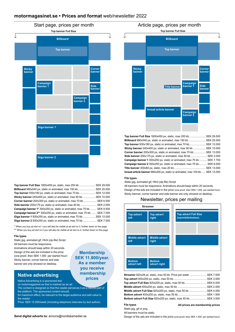# **motormagasinet.se • Prices and format** web/newsletter 2022



| <b>Top banner Full Size</b> 1800x450 px, static, max 250 kb SEK 29.500          |  |
|---------------------------------------------------------------------------------|--|
| <b>Billboard</b> 980x540 px, static or animated, max 150 kb  SEK 25.500         |  |
| <b>Top banner</b> 930x180 px, static or animated, max 70 kb SEK 12.000          |  |
| Sticky banner 240x400 px, static or animated, max 90 kb  SEK 10.000             |  |
| Corner banner 200x300 px, static or animated, max 70 kb  SEK 6.500              |  |
| Side banner 200x175 px, static or animated, max 40 kb  SEK 2.000                |  |
| <b>Campaign banner 1*</b> 300x250 px, static or animated, max 70 kb  SEK 9.500  |  |
| <b>Campaign banner 2**</b> 300x250 px, static or animated, max 70 kb  SEK 7.000 |  |
| Giga banner 1 930x250 px, static or animated, max 70 kb SEK 12.000              |  |
| Giga banner 2 930x250 px, static or animated, max 70 kb SEK 7.000               |  |

\* When you buy ad slot no 1 you will also be visible at ad slot no 3, further down on the page \*\* When you buy ad slot no 2 you will also be visible at ad slot no 4, further down on the page

> **Membership SEK 11.800/year. As a member you receive membership prices**

## **File types**

Static jpg, animated gif, Html (zip-file) Script All banners must be responsive. Animations should keep within 20 seconds. Design of the ads are included in the price (one proof, then SEK 1.000 per started hour) Sticky banner, corner banner and side banner are only showed on desktop.

# **Native advertising**

Native Advertising is a sponsored text on motormagasinet.se that is marked as an ad.

The content is designed so that the reader perceives it as a natural part of the platform. The sponsored content should,

for maximum effect, be relevant to the target audience and add value to the reader

Price: SEK 15.000/week (Including telephone interview by text author).



**Top banner Full Size** 1800x450 px, static, max 250 kb...................... SEK 29.500 **Billboard** 980x540 px, static or animated, max 150 kb ....................... SEK 25.500 **Top banner** 930x180 px, static or animated, max 70 kb...................... SEK 12.000 **Sticky banner** 240x400 px, static or animated, max 90 kb ................. SEK 10.000 **Corner banner** 200x300 px, static or animated, max 70 kb................ SEK 13.000 **Side banner** 200x175 px, static or animated, max 40 kb ...................... SEK 2.000 **Campaign banner 1** 300x250 px, static or animated, max 75 kb........... SEK 7.750 **Campaign banner 2** 300x250 px, static or animated, max 75 kb........... SEK 6.000 **Title banner** 300x60 px, static, max 20 kb .......................................... SEK 13.000 **Inread article banner** 660x200 px, static or animated, max 100 kb...... SEK 13.000

# **File types**

Static jpg, animated gif, Html (zip-file) Script

All banners must be responsive. Animations should keep within 20 seconds. Design of the ads are included in the price (one proof, then SEK 1.000 per started hour) Sticky banner, corner banner and side banner are only showed on desktop.

# Newsletter, prices per mailing



| Streamer 820x28 px, static, max 50 kb. Price per week SEK 7.500  |  |  |
|------------------------------------------------------------------|--|--|
|                                                                  |  |  |
|                                                                  |  |  |
|                                                                  |  |  |
| Middle advert Full Size 820x200 px, static, max 50 kb  SEK 4.000 |  |  |
|                                                                  |  |  |
| Bottom advert Full Size 820x200 px, static, max 50 kb SEK 3.000  |  |  |

# **File types**

**All prices are membership prices**

Static jpg, gif or png. All banners must be static.

Design of the ads are included in the price (one proof, then SEK 1.000 per started hour)